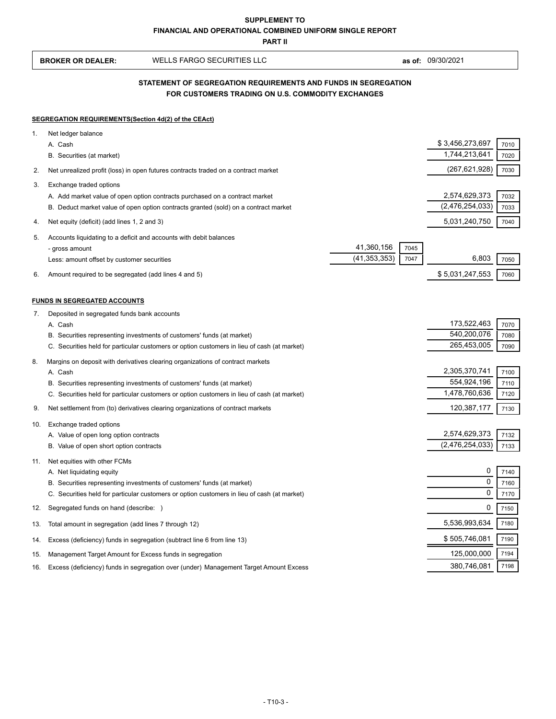**BROKER OR DEALER:** WELLS FARGO SECURITIES LLC **as of:** 09/30/2021

# **FOR CUSTOMERS TRADING ON U.S. COMMODITY EXCHANGES STATEMENT OF SEGREGATION REQUIREMENTS AND FUNDS IN SEGREGATION**

#### **SEGREGATION REQUIREMENTS(Section 4d(2) of the CEAct)**

| 1.  | Net ledger balance                                                                          |                 |      |
|-----|---------------------------------------------------------------------------------------------|-----------------|------|
|     | A. Cash                                                                                     | \$3,456,273,697 | 7010 |
|     | B. Securities (at market)                                                                   | 1,744,213,641   | 7020 |
| 2.  | Net unrealized profit (loss) in open futures contracts traded on a contract market          | (267, 621, 928) | 7030 |
| 3.  | Exchange traded options                                                                     |                 |      |
|     | A. Add market value of open option contracts purchased on a contract market                 | 2,574,629,373   | 7032 |
|     | B. Deduct market value of open option contracts granted (sold) on a contract market         | (2,476,254,033) | 7033 |
| 4.  | Net equity (deficit) (add lines 1, 2 and 3)                                                 | 5,031,240,750   | 7040 |
| 5.  | Accounts liquidating to a deficit and accounts with debit balances                          |                 |      |
|     | 41,360,156<br>7045<br>- gross amount                                                        |                 |      |
|     | (41, 353, 353)<br>7047<br>Less: amount offset by customer securities                        | 6,803           | 7050 |
| 6.  | Amount required to be segregated (add lines 4 and 5)                                        | \$5,031,247,553 | 7060 |
|     |                                                                                             |                 |      |
|     | <b>FUNDS IN SEGREGATED ACCOUNTS</b>                                                         |                 |      |
| 7.  | Deposited in segregated funds bank accounts<br>A. Cash                                      | 173,522,463     | 7070 |
|     | B. Securities representing investments of customers' funds (at market)                      | 540,200,076     | 7080 |
|     | C. Securities held for particular customers or option customers in lieu of cash (at market) | 265,453,005     | 7090 |
| 8.  | Margins on deposit with derivatives clearing organizations of contract markets              |                 |      |
|     | A. Cash                                                                                     | 2,305,370,741   | 7100 |
|     | B. Securities representing investments of customers' funds (at market)                      | 554,924,196     | 7110 |
|     | C. Securities held for particular customers or option customers in lieu of cash (at market) | 1,478,760,636   | 7120 |
| 9.  | Net settlement from (to) derivatives clearing organizations of contract markets             | 120,387,177     | 7130 |
| 10. | Exchange traded options                                                                     |                 |      |
|     | A. Value of open long option contracts                                                      | 2,574,629,373   | 7132 |
|     | B. Value of open short option contracts                                                     | (2,476,254,033) | 7133 |
| 11. | Net equities with other FCMs                                                                |                 |      |
|     | A. Net liquidating equity                                                                   | 0               | 7140 |
|     | B. Securities representing investments of customers' funds (at market)                      | $\mathbf 0$     | 7160 |
|     | C. Securities held for particular customers or option customers in lieu of cash (at market) | 0               | 7170 |
| 12. | Segregated funds on hand (describe: )                                                       | 0               | 7150 |
| 13. | Total amount in segregation (add lines 7 through 12)                                        | 5,536,993,634   | 7180 |
| 14. | Excess (deficiency) funds in segregation (subtract line 6 from line 13)                     | \$505,746,081   | 7190 |
| 15. | Management Target Amount for Excess funds in segregation                                    | 125,000,000     | 7194 |
| 16. | Excess (deficiency) funds in segregation over (under) Management Target Amount Excess       | 380,746,081     | 7198 |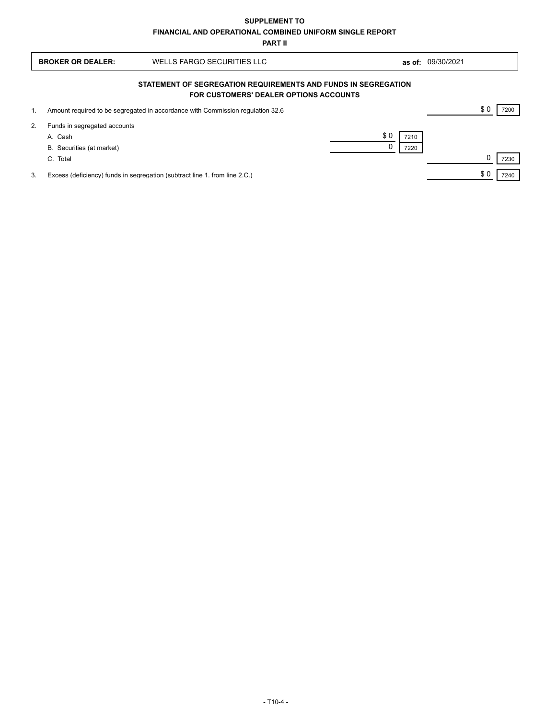| <b>BROKER OR DEALER:</b> |                                                                                                          | WELLS FARGO SECURITIES LLC                                                     |                     | as of: 09/30/2021 |   |      |  |
|--------------------------|----------------------------------------------------------------------------------------------------------|--------------------------------------------------------------------------------|---------------------|-------------------|---|------|--|
|                          | STATEMENT OF SEGREGATION REQUIREMENTS AND FUNDS IN SEGREGATION<br>FOR CUSTOMERS' DEALER OPTIONS ACCOUNTS |                                                                                |                     |                   |   |      |  |
| 1.                       |                                                                                                          | Amount required to be segregated in accordance with Commission regulation 32.6 |                     |                   |   | 7200 |  |
| 2.                       | Funds in segregated accounts<br>A. Cash<br>B. Securities (at market)<br>C. Total                         |                                                                                | \$0<br>7210<br>7220 |                   | 0 | 7230 |  |
| 3.                       |                                                                                                          | Excess (deficiency) funds in segregation (subtract line 1. from line 2.C.)     |                     |                   |   | 7240 |  |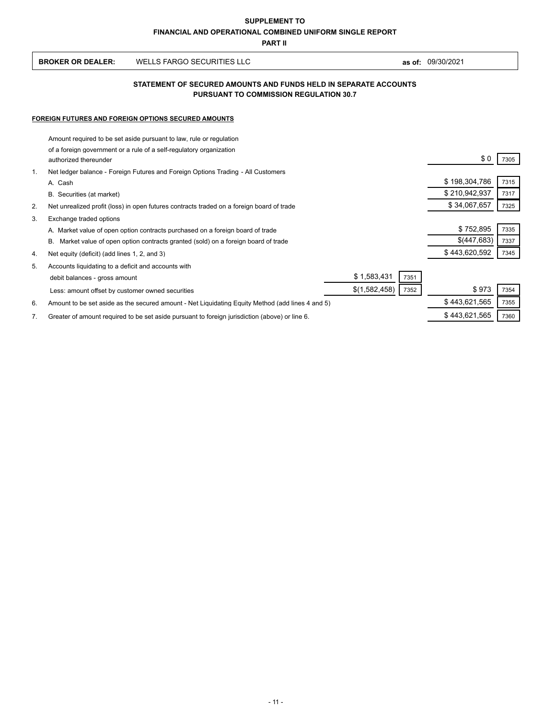| <b>BROKER OR DEALER:</b> | WELLS FARGO SECURITIES LLC | 09/30/2021<br>as of: |
|--------------------------|----------------------------|----------------------|
|--------------------------|----------------------------|----------------------|

## **PURSUANT TO COMMISSION REGULATION 30.7 STATEMENT OF SECURED AMOUNTS AND FUNDS HELD IN SEPARATE ACCOUNTS**

### **FOREIGN FUTURES AND FOREIGN OPTIONS SECURED AMOUNTS**

 $\overline{1}$ 

|                | Amount required to be set aside pursuant to law, rule or regulation                              |               |      |
|----------------|--------------------------------------------------------------------------------------------------|---------------|------|
|                | of a foreign government or a rule of a self-regulatory organization<br>authorized thereunder     | \$0           | 7305 |
| $\mathbf{1}$ . | Net ledger balance - Foreign Futures and Foreign Options Trading - All Customers                 |               |      |
|                | A. Cash                                                                                          | \$198,304,786 | 7315 |
|                | B. Securities (at market)                                                                        | \$210,942,937 | 7317 |
| 2.             | Net unrealized profit (loss) in open futures contracts traded on a foreign board of trade        | \$34,067,657  | 7325 |
| 3.             | Exchange traded options                                                                          |               |      |
|                | A. Market value of open option contracts purchased on a foreign board of trade                   | \$752,895     | 7335 |
|                | В.<br>Market value of open option contracts granted (sold) on a foreign board of trade           | \$(447,683)   | 7337 |
| 4.             | Net equity (deficit) (add lines 1, 2, and 3)                                                     | \$443,620,592 | 7345 |
| 5.             | Accounts liquidating to a deficit and accounts with                                              |               |      |
|                | \$1,583,431<br>7351<br>debit balances - gross amount                                             |               |      |
|                | \$(1,582,458)<br>7352<br>Less: amount offset by customer owned securities                        | \$973         | 7354 |
| 6.             | Amount to be set aside as the secured amount - Net Liquidating Equity Method (add lines 4 and 5) | \$443,621,565 | 7355 |
| 7.             | Greater of amount required to be set aside pursuant to foreign jurisdiction (above) or line 6.   | \$443,621,565 | 7360 |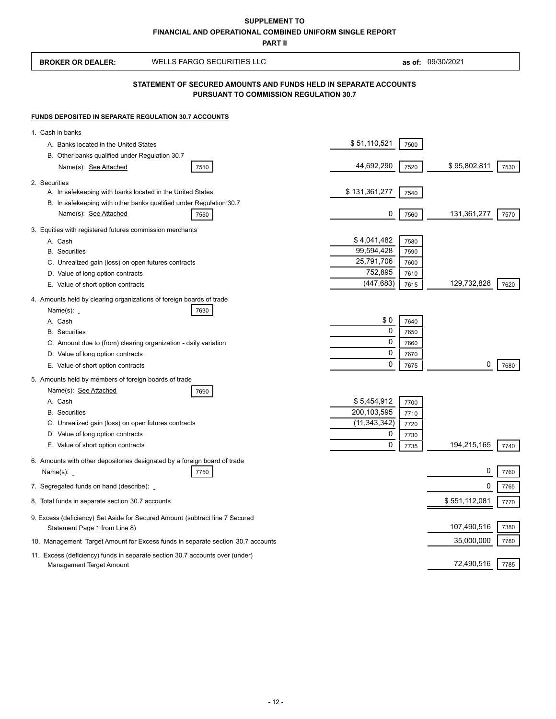# **FINANCIAL AND OPERATIONAL COMBINED UNIFORM SINGLE REPORT SUPPLEMENT TO**

**PART II**

| <b>BROKER OR DEALER:</b>                                                                                                                                                                                                                            | <b>WELLS FARGO SECURITIES LLC</b>                                                 |                                                                  |                                      | as of: 09/30/2021 |      |
|-----------------------------------------------------------------------------------------------------------------------------------------------------------------------------------------------------------------------------------------------------|-----------------------------------------------------------------------------------|------------------------------------------------------------------|--------------------------------------|-------------------|------|
| STATEMENT OF SECURED AMOUNTS AND FUNDS HELD IN SEPARATE ACCOUNTS<br><b>PURSUANT TO COMMISSION REGULATION 30.7</b>                                                                                                                                   |                                                                                   |                                                                  |                                      |                   |      |
| <b>FUNDS DEPOSITED IN SEPARATE REGULATION 30.7 ACCOUNTS</b>                                                                                                                                                                                         |                                                                                   |                                                                  |                                      |                   |      |
| 1. Cash in banks<br>A. Banks located in the United States                                                                                                                                                                                           |                                                                                   | \$51,110,521                                                     | 7500                                 |                   |      |
| B. Other banks qualified under Regulation 30.7<br>Name(s): See Attached                                                                                                                                                                             | 7510                                                                              | 44,692,290                                                       | 7520                                 | \$95,802,811      | 7530 |
| 2. Securities<br>A. In safekeeping with banks located in the United States<br>Name(s): See Attached                                                                                                                                                 | B. In safekeeping with other banks qualified under Regulation 30.7<br>7550        | \$131,361,277<br>0                                               | 7540<br>7560                         | 131,361,277       | 7570 |
| 3. Equities with registered futures commission merchants<br>A. Cash<br><b>B.</b> Securities<br>C. Unrealized gain (loss) on open futures contracts<br>D. Value of long option contracts<br>E. Value of short option contracts                       |                                                                                   | \$4,041,482<br>99,594,428<br>25,791,706<br>752,895<br>(447, 683) | 7580<br>7590<br>7600<br>7610<br>7615 | 129,732,828       | 7620 |
| 4. Amounts held by clearing organizations of foreign boards of trade<br>Name $(s)$ : $\blacksquare$<br>A. Cash<br><b>B.</b> Securities<br>D. Value of long option contracts<br>E. Value of short option contracts                                   | 7630<br>C. Amount due to (from) clearing organization - daily variation           | \$0<br>0<br>0<br>0<br>0                                          | 7640<br>7650<br>7660<br>7670<br>7675 | 0                 | 7680 |
| 5. Amounts held by members of foreign boards of trade<br>Name(s): See Attached<br>A. Cash<br><b>B.</b> Securities<br>C. Unrealized gain (loss) on open futures contracts<br>D. Value of long option contracts<br>E. Value of short option contracts | 7690                                                                              | \$5,454,912<br>200, 103, 595<br>(11, 343, 342)<br>0<br>0         | 7700<br>7710<br>7720<br>7730<br>7735 | 194,215,165       | 7740 |
| Name(s): $\overline{\phantom{a}}$                                                                                                                                                                                                                   | 6. Amounts with other depositories designated by a foreign board of trade<br>7750 |                                                                  |                                      | 0                 | 7760 |
| 7. Segregated funds on hand (describe):                                                                                                                                                                                                             |                                                                                   |                                                                  |                                      | 0                 | 7765 |
| 8. Total funds in separate section 30.7 accounts                                                                                                                                                                                                    |                                                                                   |                                                                  |                                      | \$551,112,081     | 7770 |
| Statement Page 1 from Line 8)                                                                                                                                                                                                                       | 9. Excess (deficiency) Set Aside for Secured Amount (subtract line 7 Secured      |                                                                  |                                      | 107,490,516       | 7380 |
|                                                                                                                                                                                                                                                     | 10. Management Target Amount for Excess funds in separate section 30.7 accounts   |                                                                  |                                      | 35,000,000        | 7780 |
| Management Target Amount                                                                                                                                                                                                                            | 11. Excess (deficiency) funds in separate section 30.7 accounts over (under)      |                                                                  |                                      | 72,490,516        | 7785 |